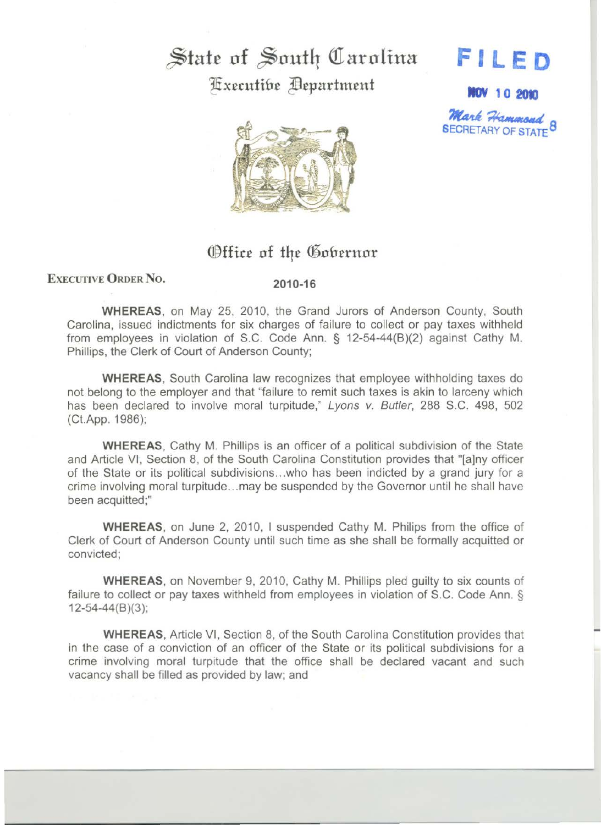## State of South Carolina

**FILE 0** 

**NOV 10 2010** 

**Mark Hammond** 

**Fixecutifie Bepartment** 



## Office of the Gobernor

## EXECUTIVE ORDER No.

## 2010-16

WHEREAS, on May 25, 2010, the Grand Jurors of Anderson County, South Carolina, issued indictments for six charges of failure to collect or pay taxes withheld from employees in violation of S.C. Code Ann. § 12-54-44(8)(2) against Cathy M. Phillips, the Clerk of Court of Anderson County;

WHEREAS, South Carolina law recognizes that employee withholding taxes do not belong to the employer and that "failure to remit such taxes is akin to larceny which has been declared to involve moral turpitude," Lyons v. Butler, 288 S.C. 498, 502 (Ct.App. 1986);

WHEREAS, Cathy M. Phillips is an officer of a political subdivision of the State and Article VI, Section 8, of the South Carolina Constitution provides that "(a]ny officer of the State or its political subdivisions ... who has been indicted by a grand jury for a crime involving moral turpitude ... may be suspended by the Governor until he shall have been acquitted;"

WHEREAS, on June 2, 2010, I suspended Cathy M. Philips from the office of Clerk of Court of Anderson County until such time as she shall be formally acquitted or convicted;

WHEREAS, on November 9, 2010, Cathy M. Phillips pled guilty to six counts of failure to collect or pay taxes withheld from employees in violation of S.C. Code Ann. § 12-54-44(8 )(3 );

WHEREAS, Article VI, Section 8, of the South Carolina Constitution provides that in the case of a conviction of an officer of the State or its political subdivisions for a crime involving moral turpitude that the office shall be declared vacant and such vacancy shall be filled as provided by law; and